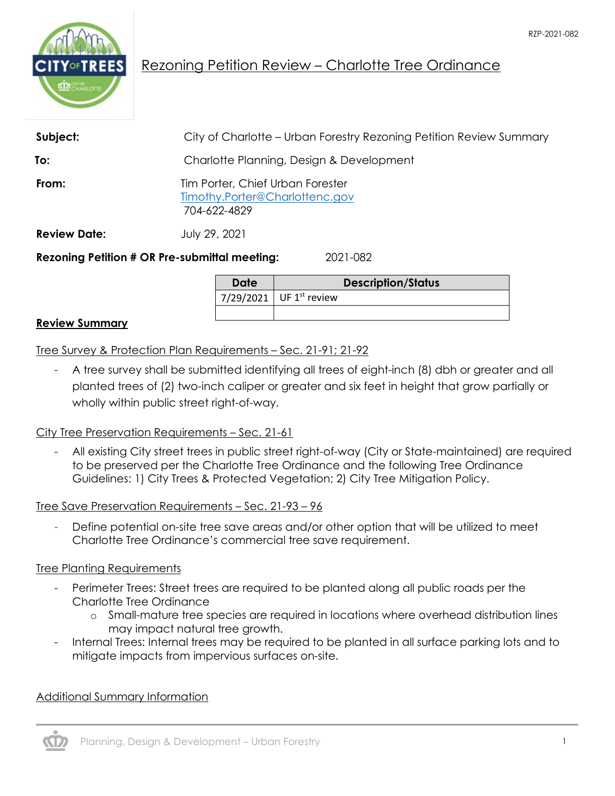

# Rezoning Petition Review – Charlotte Tree Ordinance

| Subject:            | City of Charlotte – Urban Forestry Rezoning Petition Review Summary                |
|---------------------|------------------------------------------------------------------------------------|
| To:                 | Charlotte Planning, Design & Development                                           |
| From:               | Tim Porter, Chief Urban Forester<br>Timothy.Porter@Charlottenc.gov<br>704-622-4829 |
| <b>Review Date:</b> | July 29, 2021                                                                      |
|                     | <b>Rezoning Petition # OR Pre-submittal meeting:</b><br>2021-082                   |

**Date Description/Status** 7/29/2021 UF  $1^{st}$  review

#### **Review Summary**

Tree Survey & Protection Plan Requirements – Sec. 21-91; 21-92

- A tree survey shall be submitted identifying all trees of eight-inch (8) dbh or greater and all planted trees of (2) two-inch caliper or greater and six feet in height that grow partially or wholly within public street right-of-way.

#### City Tree Preservation Requirements – Sec. 21-61

- All existing City street trees in public street right-of-way (City or State-maintained) are required to be preserved per the Charlotte Tree Ordinance and the following Tree Ordinance Guidelines: 1) City Trees & Protected Vegetation; 2) City Tree Mitigation Policy.

Tree Save Preservation Requirements – Sec. 21-93 – 96

Define potential on-site tree save areas and/or other option that will be utilized to meet Charlotte Tree Ordinance's commercial tree save requirement.

#### Tree Planting Requirements

- Perimeter Trees: Street trees are required to be planted along all public roads per the Charlotte Tree Ordinance
	- o Small-mature tree species are required in locations where overhead distribution lines may impact natural tree growth.
- Internal Trees: Internal trees may be required to be planted in all surface parking lots and to mitigate impacts from impervious surfaces on-site.

### Additional Summary Information